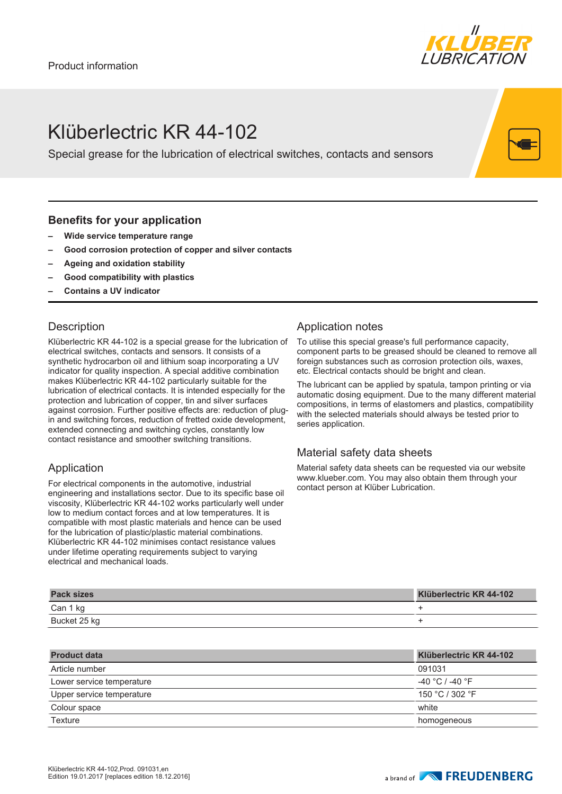

## Klüberlectric KR 44-102

Special grease for the lubrication of electrical switches, contacts and sensors

#### **Benefits for your application**

- **– Wide service temperature range**
- **– Good corrosion protection of copper and silver contacts**
- **– Ageing and oxidation stability**
- **– Good compatibility with plastics**
- **– Contains a UV indicator**

#### **Description**

Klüberlectric KR 44-102 is a special grease for the lubrication of electrical switches, contacts and sensors. It consists of a synthetic hydrocarbon oil and lithium soap incorporating a UV indicator for quality inspection. A special additive combination makes Klüberlectric KR 44-102 particularly suitable for the lubrication of electrical contacts. It is intended especially for the protection and lubrication of copper, tin and silver surfaces against corrosion. Further positive effects are: reduction of plugin and switching forces, reduction of fretted oxide development, extended connecting and switching cycles, constantly low contact resistance and smoother switching transitions.

#### Application

For electrical components in the automotive, industrial engineering and installations sector. Due to its specific base oil viscosity, Klüberlectric KR 44-102 works particularly well under low to medium contact forces and at low temperatures. It is compatible with most plastic materials and hence can be used for the lubrication of plastic/plastic material combinations. Klüberlectric KR 44-102 minimises contact resistance values under lifetime operating requirements subject to varying electrical and mechanical loads.

### Application notes

To utilise this special grease's full performance capacity, component parts to be greased should be cleaned to remove all foreign substances such as corrosion protection oils, waxes, etc. Electrical contacts should be bright and clean.

The lubricant can be applied by spatula, tampon printing or via automatic dosing equipment. Due to the many different material compositions, in terms of elastomers and plastics, compatibility with the selected materials should always be tested prior to series application.

#### Material safety data sheets

Material safety data sheets can be requested via our website www.klueber.com. You may also obtain them through your contact person at Klüber Lubrication.

| <b>Pack sizes</b> | Klüberlectric KR 44-102 |
|-------------------|-------------------------|
| Can 1 kg          |                         |
| Bucket 25 kg      |                         |

| <b>Product data</b>       | Klüberlectric KR 44-102 |
|---------------------------|-------------------------|
| Article number            | 091031                  |
| Lower service temperature | -40 °C / -40 °F         |
| Upper service temperature | 150 °C / 302 °F         |
| Colour space              | white                   |
| Texture                   | homogeneous             |